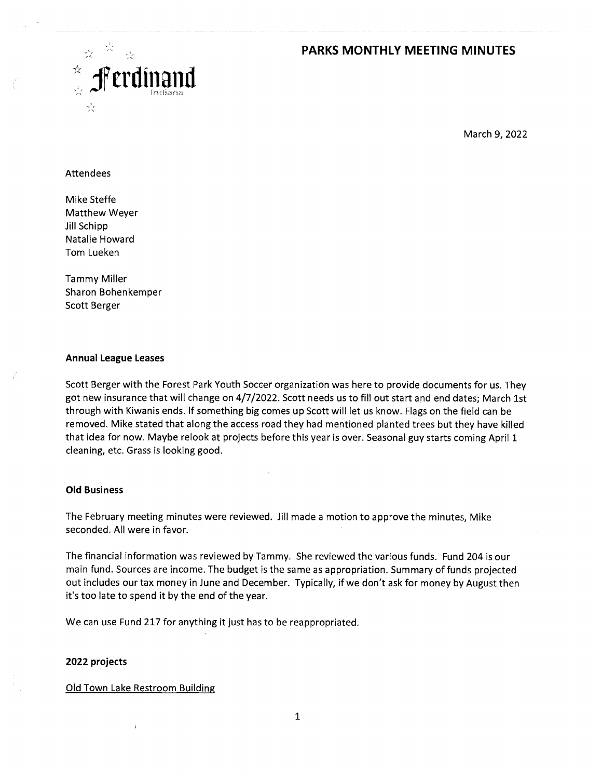## **PARKS MONTHLY MEETING MINUTES**



March 9, 2022

### **Attendees**

Mike Steffe Matthew Weyer Jill Schipp Natalie Howard Tom Lueken

Tammy Miller Sharon Bohenkemper Scott Berger

#### **Annual League Leases**

Scott Berger with the Forest Park Youth Soccer organization was here to provide documents for us. They got new insurance that will change on 4/7/2022. Scott needs us to fill out start and end dates; March 1st through with Kiwanis ends. lf something big comes up Scott will let us know. Flags on the field can be removed. Mike stated that along the access road they had mentioned planted trees but they have killed that idea for now. Maybe relook at projects before this year is over. Seasonal guy starts coming April 1 cleaning, etc. Grass is looking good.

#### **Old Business**

The February meeting minutes were reviewed. Jill made a motion to approve the minutes, Mike seconded. All were in favor.

The financial information was reviewed by Tammy. She reviewed the various funds. Fund 204 is our main fund. Sources are income. The budget is the same as appropriation. Summary of funds projected out includes our tax money in June and December. Typically, if we don't ask for money by August then it's too late to spend it by the end of the year.

We can use Fund 217 for anything it just has to be reappropriated.

#### **2022 projects**

Old Town Lake Restroom Building

1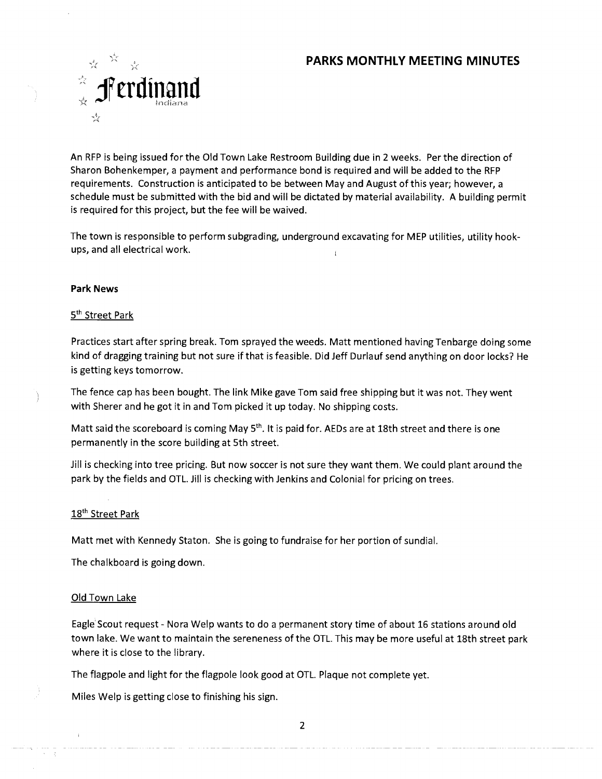# **PARKS MONTHLY MEETING MINUTES**



An RFP is being issued for the Old Town Lake Restroom Building due in 2 weeks. Per the direction of Sharon Bohenkemper, a payment and performance bond is required and will be added to the RFP requirements. Construction is anticipated to be between May and August of this year; however, a schedule must be submitted with the bid and will be dictated by material availability. A building permit is required for this project, but the fee will be waived.

The town is responsible to perform subgrading, underground excavating for MEP utilities, utility hookups, and all electrical work.

## **Park News**

## 5<sup>th</sup> Street Park

Practices start after spring break. Tom sprayed the weeds. Matt mentioned having Tenbarge doing some kind of dragging training but not sure if that is feasible. Did Jeff Durlauf send anything on door locks? He is getting keys tomorrow.

The fence cap has been bought. The link Mike gave Tom said free shipping but it was not. They went with Sherer and he got it in and Tom picked it up today. No shipping costs.

Matt said the scoreboard is coming May  $5<sup>th</sup>$ . It is paid for. AEDs are at 18th street and there is one permanently in the score building at 5th street.

Jill is checking into tree pricing. But now soccer is not sure they want them. We could plant around the park by the fields and OTL. Jill is checking with Jenkins and Colonial for pricing on trees.

## 18<sup>th</sup> Street Park

Matt met with Kennedy Staton. She is going to fundraise for her portion of sundial.

The chalkboard is going down.

### Old Town Lake

Eagle Scout request - Nora Welp wants to do a permanent story time of about 16 stations around old town lake. We want to maintain the sereneness of the OTL. This may be more useful at 18th street park where it is close to the library.

The flagpole and light for the flagpole look good at OTL. Plaque not complete yet.

and a second company of the continuum company and the company of the continuum contracts

Miles Welp is getting close to finishing his sign.